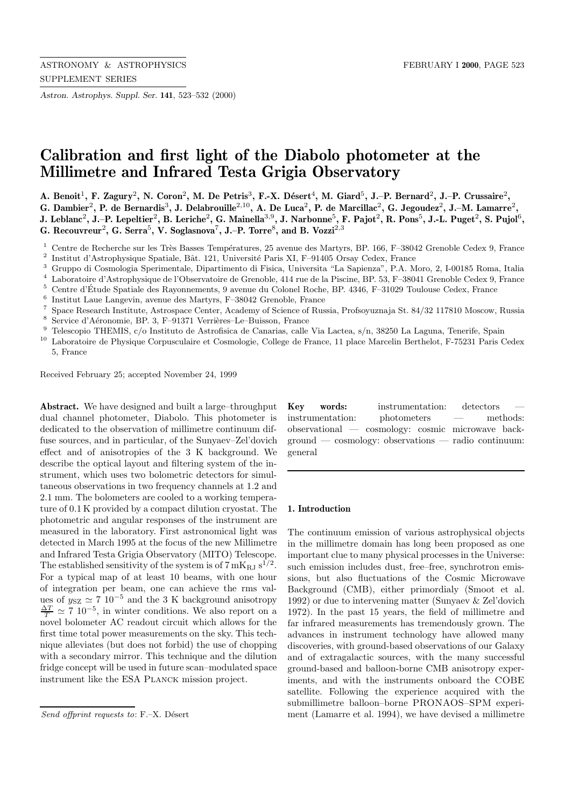*Astron. Astrophys. Suppl. Ser.* **141**, 523–532 (2000)

# **Calibration and first light of the Diabolo photometer at the Millimetre and Infrared Testa Grigia Observatory**

**A. Benoit**<sup>1</sup>**, F. Zagury**<sup>2</sup>**, N. Coron**<sup>2</sup>**, M. De Petris**<sup>3</sup>**, F.-X. D´esert**<sup>4</sup>**, M. Giard**<sup>5</sup>**, J.–P. Bernard**<sup>2</sup>**, J.–P. Crussaire**<sup>2</sup>**, G. Dambier**<sup>2</sup>**, P. de Bernardis**<sup>3</sup>**, J. Delabrouille**<sup>2</sup>,<sup>10</sup>**, A. De Luca**<sup>2</sup>**, P. de Marcillac**<sup>2</sup>**, G. Jegoudez**<sup>2</sup>**, J.–M. Lamarre**<sup>2</sup>**, J. Leblanc**<sup>2</sup>**, J.–P. Lepeltier**<sup>2</sup>**, B. Leriche**<sup>2</sup>**, G. Mainella**<sup>3</sup>,<sup>9</sup>**, J. Narbonne**<sup>5</sup>**, F. Pajot**<sup>2</sup>**, R. Pons**<sup>5</sup>**, J.-L. Puget**<sup>2</sup>**, S. Pujol**<sup>6</sup>**,**

**G. Recouvreur**<sup>2</sup>**, G. Serra**<sup>5</sup>**, V. Soglasnova**<sup>7</sup>**, J.–P. Torre**<sup>8</sup>**, and B. Vozzi**<sup>2</sup>,<sup>3</sup>

<sup>1</sup> Centre de Recherche sur les Très Basses Températures, 25 avenue des Martyrs, BP. 166, F–38042 Grenoble Cedex 9, France

<sup>2</sup> Institut d'Astrophysique Spatiale, Bât. 121, Université Paris XI, F–91405 Orsay Cedex, France  $\frac{3}{2}$  Cuunne di Cesmologie Spatianente le Dipertimente di Fisice. Université "Le Sepienze", P.A. M

<sup>3</sup> Gruppo di Cosmologia Sperimentale, Dipartimento di Fisica, Universita "La Sapienza", P.A. Moro, 2, I-00185 Roma, Italia  $^{4}$  I aboratoire d'Astrophysique de l'Observatoire de Crenoble 414 rue de la Pissine, BP 53, E

<sup>4</sup> Laboratoire d'Astrophysique de l'Observatoire de Grenoble, 414 rue de la Piscine, BP. 53, F–38041 Grenoble Cedex 9, France

<sup>5</sup> Centre d'Etude Spatiale des Rayonnements, 9 avenue du Colonel Roche, BP. 4346, F–31029 Toulouse Cedex, France ´

- <sup>6</sup> Institut Laue Langevin, avenue des Martyrs, F-38042 Grenoble, France  $\frac{7}{1}$  Space Besearch Institute, Astrospace Center, Academy of Science of Bus
- <sup>7</sup> Space Research Institute, Astrospace Center, Academy of Science of Russia, Profsoyuznaja St. 84/32 117810 Moscow, Russia
- <sup>8</sup> Service d'Aéronomie, BP. 3, F–91371 Verrières–Le–Buisson, France
- <sup>9</sup> Telescopio THEMIS, c/o Instituto de Astrofisica de Canarias, calle Via Lactea, s/n, 38250 La Laguna, Tenerife, Spain

<sup>10</sup> Laboratoire de Physique Corpusculaire et Cosmologie, College de France, 11 place Marcelin Berthelot, F-75231 Paris Cedex 5, France

Received February 25; accepted November 24, 1999

**Abstract.** We have designed and built a large–throughput dual channel photometer, Diabolo. This photometer is dedicated to the observation of millimetre continuum diffuse sources, and in particular, of the Sunyaev–Zel'dovich effect and of anisotropies of the 3 K background. We describe the optical layout and filtering system of the instrument, which uses two bolometric detectors for simultaneous observations in two frequency channels at 1.2 and 2.1 mm. The bolometers are cooled to a working temperature of 0.1 K provided by a compact dilution cryostat. The photometric and angular responses of the instrument are measured in the laboratory. First astronomical light was detected in March 1995 at the focus of the new Millimetre and Infrared Testa Grigia Observatory (MITO) Telescope. The established sensitivity of the system is of  $7 \text{ mK}_{\text{RJ}} \text{ s}^{1/2}$ . For a typical map of at least 10 beams, with one hour of integration per beam, one can achieve the rms values of  $y_{SZ} \simeq 7 \; 10^{-5}$  and the 3 K background anisotropy  $\frac{\Delta T}{T} \simeq 7 \; 10^{-5}$ , in winter conditions. We also report on a novel bolometer AC readout circuit which allows for the first time total power measurements on the sky. This technique alleviates (but does not forbid) the use of chopping with a secondary mirror. This technique and the dilution fridge concept will be used in future scan–modulated space instrument like the ESA Planck mission project.

**Key words:** instrumentation: detectors instrumentation: photometers — methods: observational — cosmology: cosmic microwave background — cosmology: observations — radio continuum: general

## **1. Introduction**

The continuum emission of various astrophysical objects in the millimetre domain has long been proposed as one important clue to many physical processes in the Universe: such emission includes dust, free–free, synchrotron emissions, but also fluctuations of the Cosmic Microwave Background (CMB), either primordialy (Smoot et al. 1992) or due to intervening matter (Sunyaev & Zel'dovich 1972). In the past 15 years, the field of millimetre and far infrared measurements has tremendously grown. The advances in instrument technology have allowed many discoveries, with ground-based observations of our Galaxy and of extragalactic sources, with the many successful ground-based and balloon-borne CMB anisotropy experiments, and with the instruments onboard the COBE satellite. Following the experience acquired with the submillimetre balloon–borne PRONAOS–SPM experiment (Lamarre et al. 1994), we have devised a millimetre

Send offprint requests to:  $F.-X.$  Désert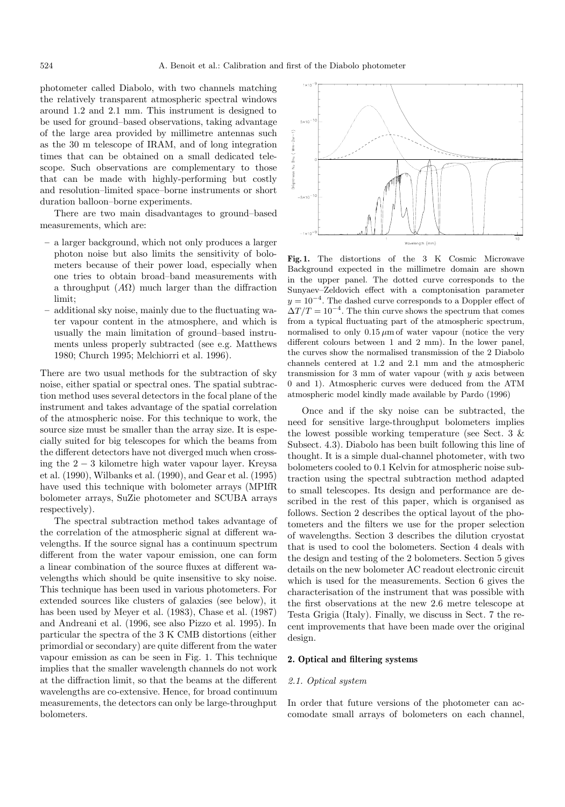photometer called Diabolo, with two channels matching the relatively transparent atmospheric spectral windows around 1.2 and 2.1 mm. This instrument is designed to be used for ground–based observations, taking advantage of the large area provided by millimetre antennas such as the 30 m telescope of IRAM, and of long integration times that can be obtained on a small dedicated telescope. Such observations are complementary to those that can be made with highly-performing but costly and resolution–limited space–borne instruments or short duration balloon–borne experiments.

There are two main disadvantages to ground–based measurements, which are:

- **–** a larger background, which not only produces a larger photon noise but also limits the sensitivity of bolometers because of their power load, especially when one tries to obtain broad–band measurements with a throughput  $(A\Omega)$  much larger than the diffraction limit;
- **–** additional sky noise, mainly due to the fluctuating water vapour content in the atmosphere, and which is usually the main limitation of ground–based instruments unless properly subtracted (see e.g. Matthews 1980; Church 1995; Melchiorri et al. 1996).

There are two usual methods for the subtraction of sky noise, either spatial or spectral ones. The spatial subtraction method uses several detectors in the focal plane of the instrument and takes advantage of the spatial correlation of the atmospheric noise. For this technique to work, the source size must be smaller than the array size. It is especially suited for big telescopes for which the beams from the different detectors have not diverged much when crossing the 2 − 3 kilometre high water vapour layer. Kreysa et al. (1990), Wilbanks et al. (1990), and Gear et al. (1995) have used this technique with bolometer arrays (MPIfR bolometer arrays, SuZie photometer and SCUBA arrays respectively).

The spectral subtraction method takes advantage of the correlation of the atmospheric signal at different wavelengths. If the source signal has a continuum spectrum different from the water vapour emission, one can form a linear combination of the source fluxes at different wavelengths which should be quite insensitive to sky noise. This technique has been used in various photometers. For extended sources like clusters of galaxies (see below), it has been used by Meyer et al. (1983), Chase et al. (1987) and Andreani et al. (1996, see also Pizzo et al. 1995). In particular the spectra of the 3 K CMB distortions (either primordial or secondary) are quite different from the water vapour emission as can be seen in Fig. 1. This technique implies that the smaller wavelength channels do not work at the diffraction limit, so that the beams at the different wavelengths are co-extensive. Hence, for broad continuum measurements, the detectors can only be large-throughput bolometers.



**Fig. 1.** The distortions of the 3 K Cosmic Microwave Background expected in the millimetre domain are shown in the upper panel. The dotted curve corresponds to the Sunyaev–Zeldovich effect with a comptonisation parameter  $y = 10^{-4}$ . The dashed curve corresponds to a Doppler effect of  $\Delta T/T = 10^{-4}$ . The thin curve shows the spectrum that comes from a typical fluctuating part of the atmospheric spectrum, normalised to only  $0.15 \mu m$  of water vapour (notice the very different colours between 1 and 2 mm). In the lower panel, the curves show the normalised transmission of the 2 Diabolo channels centered at 1.2 and 2.1 mm and the atmospheric transmission for  $3 \text{ mm}$  of water vapour (with  $y$  axis between 0 and 1). Atmospheric curves were deduced from the ATM atmospheric model kindly made available by Pardo (1996)

Once and if the sky noise can be subtracted, the need for sensitive large-throughput bolometers implies the lowest possible working temperature (see Sect. 3  $\&$ Subsect. 4.3). Diabolo has been built following this line of thought. It is a simple dual-channel photometer, with two bolometers cooled to 0.1 Kelvin for atmospheric noise subtraction using the spectral subtraction method adapted to small telescopes. Its design and performance are described in the rest of this paper, which is organised as follows. Section 2 describes the optical layout of the photometers and the filters we use for the proper selection of wavelengths. Section 3 describes the dilution cryostat that is used to cool the bolometers. Section 4 deals with the design and testing of the 2 bolometers. Section 5 gives details on the new bolometer AC readout electronic circuit which is used for the measurements. Section 6 gives the characterisation of the instrument that was possible with the first observations at the new 2.6 metre telescope at Testa Grigia (Italy). Finally, we discuss in Sect. 7 the recent improvements that have been made over the original design.

# **2. Optical and filtering systems**

### 2.1. Optical system

In order that future versions of the photometer can accomodate small arrays of bolometers on each channel,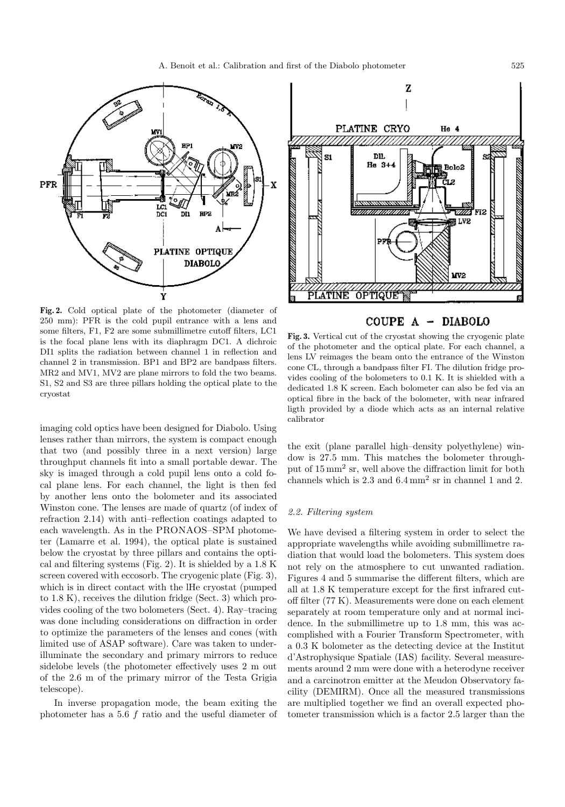

**Fig. 2.** Cold optical plate of the photometer (diameter of 250 mm): PFR is the cold pupil entrance with a lens and some filters, F1, F2 are some submillimetre cutoff filters, LC1 is the focal plane lens with its diaphragm DC1. A dichroic DI1 splits the radiation between channel 1 in reflection and channel 2 in transmission. BP1 and BP2 are bandpass filters. MR2 and MV1, MV2 are plane mirrors to fold the two beams. S1, S2 and S3 are three pillars holding the optical plate to the cryostat

imaging cold optics have been designed for Diabolo. Using lenses rather than mirrors, the system is compact enough that two (and possibly three in a next version) large throughput channels fit into a small portable dewar. The sky is imaged through a cold pupil lens onto a cold focal plane lens. For each channel, the light is then fed by another lens onto the bolometer and its associated Winston cone. The lenses are made of quartz (of index of refraction 2.14) with anti–reflection coatings adapted to each wavelength. As in the PRONAOS–SPM photometer (Lamarre et al. 1994), the optical plate is sustained below the cryostat by three pillars and contains the optical and filtering systems (Fig. 2). It is shielded by a 1.8 K screen covered with eccosorb. The cryogenic plate (Fig. 3), which is in direct contact with the lHe cryostat (pumped to 1.8 K), receives the dilution fridge (Sect. 3) which provides cooling of the two bolometers (Sect. 4). Ray–tracing was done including considerations on diffraction in order to optimize the parameters of the lenses and cones (with limited use of ASAP software). Care was taken to underilluminate the secondary and primary mirrors to reduce sidelobe levels (the photometer effectively uses 2 m out of the 2.6 m of the primary mirror of the Testa Grigia telescope).

In inverse propagation mode, the beam exiting the photometer has a 5.6 f ratio and the useful diameter of



COUPE A - DIABOLO

**Fig. 3.** Vertical cut of the cryostat showing the cryogenic plate of the photometer and the optical plate. For each channel, a lens LV reimages the beam onto the entrance of the Winston cone CL, through a bandpass filter FI. The dilution fridge provides cooling of the bolometers to 0.1 K. It is shielded with a dedicated 1.8 K screen. Each bolometer can also be fed via an optical fibre in the back of the bolometer, with near infrared ligth provided by a diode which acts as an internal relative calibrator

the exit (plane parallel high–density polyethylene) window is 27.5 mm. This matches the bolometer throughput of 15 mm<sup>2</sup> sr, well above the diffraction limit for both channels which is 2.3 and 6.4 mm<sup>2</sup> sr in channel 1 and 2.

#### 2.2. Filtering system

We have devised a filtering system in order to select the appropriate wavelengths while avoiding submillimetre radiation that would load the bolometers. This system does not rely on the atmosphere to cut unwanted radiation. Figures 4 and 5 summarise the different filters, which are all at 1.8 K temperature except for the first infrared cutoff filter (77 K). Measurements were done on each element separately at room temperature only and at normal incidence. In the submillimetre up to 1.8 mm, this was accomplished with a Fourier Transform Spectrometer, with a 0.3 K bolometer as the detecting device at the Institut d'Astrophysique Spatiale (IAS) facility. Several measurements around 2 mm were done with a heterodyne receiver and a carcinotron emitter at the Meudon Observatory facility (DEMIRM). Once all the measured transmissions are multiplied together we find an overall expected photometer transmission which is a factor 2.5 larger than the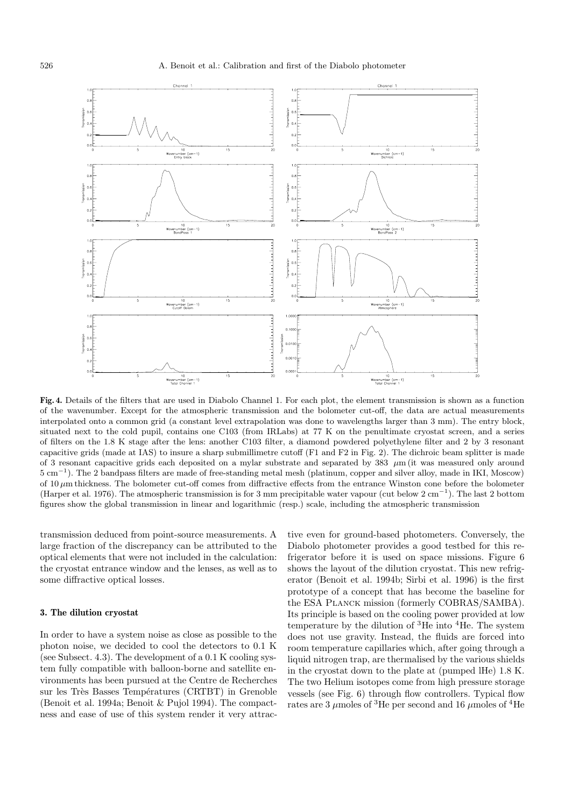

**Fig. 4.** Details of the filters that are used in Diabolo Channel 1. For each plot, the element transmission is shown as a function of the wavenumber. Except for the atmospheric transmission and the bolometer cut-off, the data are actual measurements interpolated onto a common grid (a constant level extrapolation was done to wavelengths larger than 3 mm). The entry block, situated next to the cold pupil, contains one C103 (from IRLabs) at 77 K on the penultimate cryostat screen, and a series of filters on the 1.8 K stage after the lens: another C103 filter, a diamond powdered polyethylene filter and 2 by 3 resonant capacitive grids (made at IAS) to insure a sharp submillimetre cutoff (F1 and F2 in Fig. 2). The dichroic beam splitter is made of 3 resonant capacitive grids each deposited on a mylar substrate and separated by 383 µm (it was measured only around 5 cm−<sup>1</sup>). The 2 bandpass filters are made of free-standing metal mesh (platinum, copper and silver alloy, made in IKI, Moscow) of  $10 \mu$ m thickness. The bolometer cut-off comes from diffractive effects from the entrance Winston cone before the bolometer (Harper et al. 1976). The atmospheric transmission is for 3 mm precipitable water vapour (cut below  $2 \text{ cm}^{-1}$ ). The last 2 bottom figures show the global transmission in linear and logarithmic (resp.) scale, including the atmospheric transmission

transmission deduced from point-source measurements. A large fraction of the discrepancy can be attributed to the optical elements that were not included in the calculation: the cryostat entrance window and the lenses, as well as to some diffractive optical losses.

#### **3. The dilution cryostat**

In order to have a system noise as close as possible to the photon noise, we decided to cool the detectors to 0.1 K (see Subsect. 4.3). The development of a 0.1 K cooling system fully compatible with balloon-borne and satellite environments has been pursued at the Centre de Recherches sur les Très Basses Températures (CRTBT) in Grenoble (Benoit et al. 1994a; Benoit & Pujol 1994). The compactness and ease of use of this system render it very attractive even for ground-based photometers. Conversely, the Diabolo photometer provides a good testbed for this refrigerator before it is used on space missions. Figure 6 shows the layout of the dilution cryostat. This new refrigerator (Benoit et al. 1994b; Sirbi et al. 1996) is the first prototype of a concept that has become the baseline for the ESA Planck mission (formerly COBRAS/SAMBA). Its principle is based on the cooling power provided at low temperature by the dilution of  ${}^{3}$ He into  ${}^{4}$ He. The system does not use gravity. Instead, the fluids are forced into room temperature capillaries which, after going through a liquid nitrogen trap, are thermalised by the various shields in the cryostat down to the plate at (pumped lHe) 1.8 K. The two Helium isotopes come from high pressure storage vessels (see Fig. 6) through flow controllers. Typical flow rates are 3  $\mu$ moles of <sup>3</sup>He per second and 16  $\mu$ moles of <sup>4</sup>He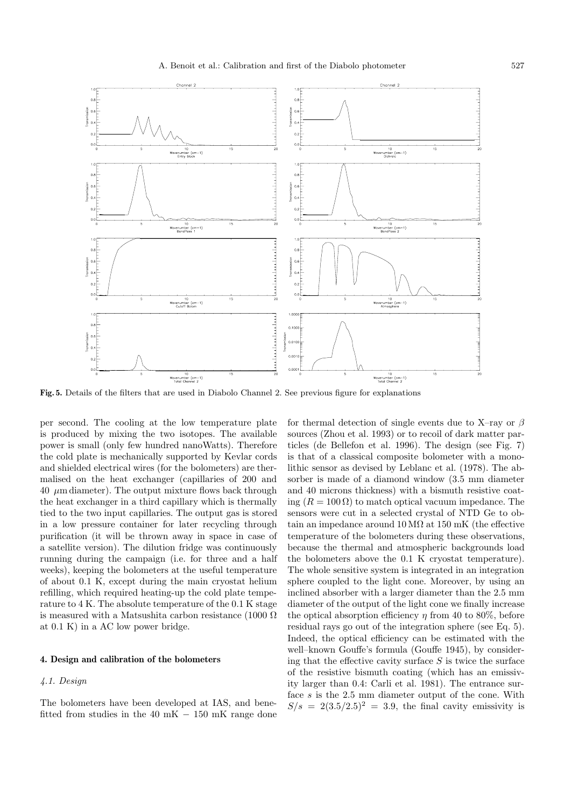

**Fig. 5.** Details of the filters that are used in Diabolo Channel 2. See previous figure for explanations

per second. The cooling at the low temperature plate is produced by mixing the two isotopes. The available power is small (only few hundred nanoWatts). Therefore the cold plate is mechanically supported by Kevlar cords and shielded electrical wires (for the bolometers) are thermalised on the heat exchanger (capillaries of 200 and 40  $\mu$ m diameter). The output mixture flows back through the heat exchanger in a third capillary which is thermally tied to the two input capillaries. The output gas is stored in a low pressure container for later recycling through purification (it will be thrown away in space in case of a satellite version). The dilution fridge was continuously running during the campaign (i.e. for three and a half weeks), keeping the bolometers at the useful temperature of about 0.1 K, except during the main cryostat helium refilling, which required heating-up the cold plate temperature to 4 K. The absolute temperature of the 0.1 K stage is measured with a Matsushita carbon resistance (1000  $\Omega$ ) at 0.1 K) in a AC low power bridge.

### **4. Design and calibration of the bolometers**

# 4.1. Design

The bolometers have been developed at IAS, and benefitted from studies in the 40 mK  $- 150$  mK range done for thermal detection of single events due to X–ray or  $\beta$ sources (Zhou et al. 1993) or to recoil of dark matter particles (de Bellefon et al. 1996). The design (see Fig. 7) is that of a classical composite bolometer with a monolithic sensor as devised by Leblanc et al. (1978). The absorber is made of a diamond window (3.5 mm diameter and 40 microns thickness) with a bismuth resistive coating  $(R = 100 \Omega)$  to match optical vacuum impedance. The sensors were cut in a selected crystal of NTD Ge to obtain an impedance around  $10 \text{ M}\Omega$  at  $150 \text{ mK}$  (the effective temperature of the bolometers during these observations, because the thermal and atmospheric backgrounds load the bolometers above the 0.1 K cryostat temperature). The whole sensitive system is integrated in an integration sphere coupled to the light cone. Moreover, by using an inclined absorber with a larger diameter than the 2.5 mm diameter of the output of the light cone we finally increase the optical absorption efficiency  $\eta$  from 40 to 80%, before residual rays go out of the integration sphere (see Eq. 5). Indeed, the optical efficiency can be estimated with the well–known Gouffe's formula (Gouffe 1945), by considering that the effective cavity surface  $S$  is twice the surface of the resistive bismuth coating (which has an emissivity larger than 0.4: Carli et al. 1981). The entrance surface  $s$  is the 2.5 mm diameter output of the cone. With  $S/s = 2(3.5/2.5)^2 = 3.9$ , the final cavity emissivity is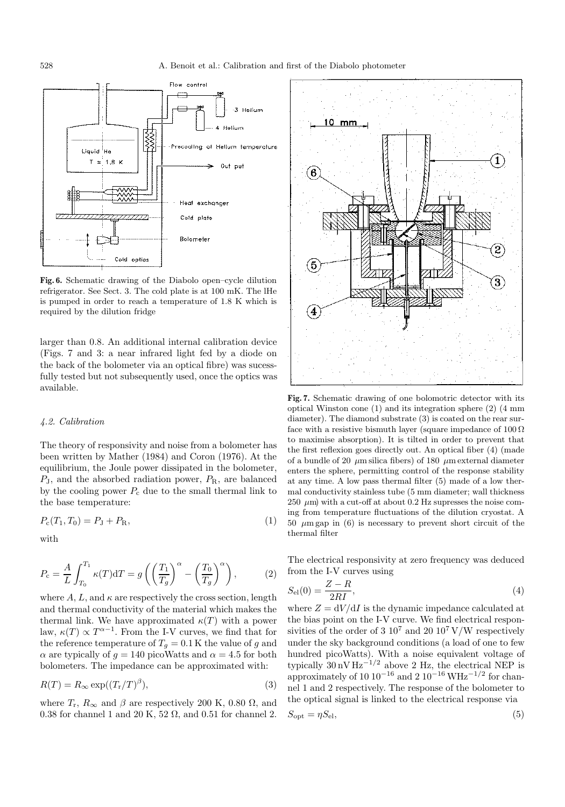

**Fig. 6.** Schematic drawing of the Diabolo open–cycle dilution refrigerator. See Sect. 3. The cold plate is at 100 mK. The lHe is pumped in order to reach a temperature of 1.8 K which is required by the dilution fridge

larger than 0.8. An additional internal calibration device (Figs. 7 and 3: a near infrared light fed by a diode on the back of the bolometer via an optical fibre) was sucessfully tested but not subsequently used, once the optics was available.

#### 4.2. Calibration

The theory of responsivity and noise from a bolometer has been written by Mather (1984) and Coron (1976). At the equilibrium, the Joule power dissipated in the bolometer,  $P_J$ , and the absorbed radiation power,  $P_R$ , are balanced by the cooling power  $P_c$  due to the small thermal link to the base temperature:

$$
P_{\rm c}(T_1, T_0) = P_{\rm J} + P_{\rm R},\tag{1}
$$

with

$$
P_{\rm c} = \frac{A}{L} \int_{T_0}^{T_1} \kappa(T) dT = g\left(\left(\frac{T_1}{T_g}\right)^{\alpha} - \left(\frac{T_0}{T_g}\right)^{\alpha}\right),\tag{2}
$$

where A, L, and  $\kappa$  are respectively the cross section, length and thermal conductivity of the material which makes the thermal link. We have approximated  $\kappa(T)$  with a power law,  $\kappa(T) \propto T^{\alpha-1}$ . From the I-V curves, we find that for the reference temperature of  $T_q = 0.1$  K the value of g and  $\alpha$  are typically of  $g = 140$  picoWatts and  $\alpha = 4.5$  for both bolometers. The impedance can be approximated with:

$$
R(T) = R_{\infty} \exp((T_{\rm r}/T)^{\beta}), \qquad (3)
$$

where  $T_r$ ,  $R_\infty$  and  $\beta$  are respectively 200 K, 0.80  $\Omega$ , and 0.38 for channel 1 and 20 K, 52  $\Omega$ , and 0.51 for channel 2.



**Fig. 7.** Schematic drawing of one bolomotric detector with its optical Winston cone (1) and its integration sphere (2) (4 mm diameter). The diamond substrate (3) is coated on the rear surface with a resistive bismuth layer (square impedance of  $100 \Omega$ ) to maximise absorption). It is tilted in order to prevent that the first reflexion goes directly out. An optical fiber (4) (made of a bundle of 20  $\mu$ m silica fibers) of 180  $\mu$ m external diameter enters the sphere, permitting control of the response stability at any time. A low pass thermal filter (5) made of a low thermal conductivity stainless tube (5 mm diameter; wall thickness 250  $\mu$ m) with a cut-off at about 0.2 Hz supresses the noise coming from temperature fluctuations of the dilution cryostat. A 50  $\mu$ m gap in (6) is necessary to prevent short circuit of the thermal filter

The electrical responsivity at zero frequency was deduced from the I-V curves using

$$
S_{\rm el}(0) = \frac{Z - R}{2RI},\tag{4}
$$

where  $Z = dV/dI$  is the dynamic impedance calculated at the bias point on the I-V curve. We find electrical responsivities of the order of 3  $10^7$  and 20  $10^7$  V/W respectively under the sky background conditions (a load of one to few hundred picoWatts). With a noise equivalent voltage of typically  $30 \text{ nV Hz}^{-1/2}$  above 2 Hz, the electrical NEP is approximately of 10  $10^{-16}$  and 2  $10^{-16}$  WHz<sup>-1/2</sup> for channel 1 and 2 respectively. The response of the bolometer to the optical signal is linked to the electrical response via

$$
S_{\rm opt} = \eta S_{\rm el},\tag{5}
$$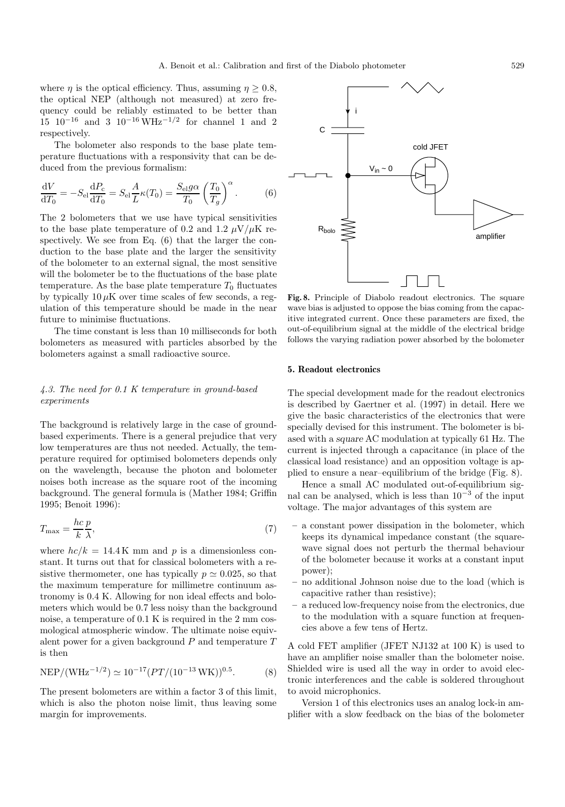where  $\eta$  is the optical efficiency. Thus, assuming  $\eta \geq 0.8$ , the optical NEP (although not measured) at zero frequency could be reliably estimated to be better than  $15 \text{ } 10^{-16} \text{ and } 3 \text{ } 10^{-16} \text{ W} \text{Hz}^{-1/2} \text{ for channel } 1 \text{ and } 2$ respectively.

The bolometer also responds to the base plate temperature fluctuations with a responsivity that can be deduced from the previous formalism:

$$
\frac{\mathrm{d}V}{\mathrm{d}T_0} = -S_{\text{el}} \frac{\mathrm{d}P_{\text{c}}}{\mathrm{d}T_0} = S_{\text{el}} \frac{A}{L} \kappa(T_0) = \frac{S_{\text{el}} g \alpha}{T_0} \left(\frac{T_0}{T_g}\right)^{\alpha}.
$$
 (6)

The 2 bolometers that we use have typical sensitivities to the base plate temperature of 0.2 and 1.2  $\mu$ V/ $\mu$ K respectively. We see from Eq. (6) that the larger the conduction to the base plate and the larger the sensitivity of the bolometer to an external signal, the most sensitive will the bolometer be to the fluctuations of the base plate temperature. As the base plate temperature  $T_0$  fluctuates by typically  $10 \mu K$  over time scales of few seconds, a regulation of this temperature should be made in the near future to minimise fluctuations.

The time constant is less than 10 milliseconds for both bolometers as measured with particles absorbed by the bolometers against a small radioactive source.

## 4.3. The need for 0.1 K temperature in ground-based experiments

The background is relatively large in the case of groundbased experiments. There is a general prejudice that very low temperatures are thus not needed. Actually, the temperature required for optimised bolometers depends only on the wavelength, because the photon and bolometer noises both increase as the square root of the incoming background. The general formula is (Mather 1984; Griffin 1995; Benoit 1996):

$$
T_{\text{max}} = \frac{hc}{k} \frac{p}{\lambda},\tag{7}
$$

where  $hc/k = 14.4 \,\mathrm{K}$  mm and p is a dimensionless constant. It turns out that for classical bolometers with a resistive thermometer, one has typically  $p \approx 0.025$ , so that the maximum temperature for millimetre continuum astronomy is 0.4 K. Allowing for non ideal effects and bolometers which would be 0.7 less noisy than the background noise, a temperature of 0.1 K is required in the 2 mm cosmological atmospheric window. The ultimate noise equivalent power for a given background  $P$  and temperature  $T$ is then

NEP/(WHz<sup>-1/2</sup>) 
$$
\simeq 10^{-17} (PT/(10^{-13} \text{WK}))^{0.5}
$$
. (8)

The present bolometers are within a factor 3 of this limit, which is also the photon noise limit, thus leaving some margin for improvements.



**Fig. 8.** Principle of Diabolo readout electronics. The square wave bias is adjusted to oppose the bias coming from the capacitive integrated current. Once these parameters are fixed, the out-of-equilibrium signal at the middle of the electrical bridge follows the varying radiation power absorbed by the bolometer

#### **5. Readout electronics**

The special development made for the readout electronics is described by Gaertner et al. (1997) in detail. Here we give the basic characteristics of the electronics that were specially devised for this instrument. The bolometer is biased with a *square* AC modulation at typically 61 Hz. The current is injected through a capacitance (in place of the classical load resistance) and an opposition voltage is applied to ensure a near–equilibrium of the bridge (Fig. 8).

Hence a small AC modulated out-of-equilibrium signal can be analysed, which is less than  $10^{-3}$  of the input voltage. The major advantages of this system are

- **–** a constant power dissipation in the bolometer, which keeps its dynamical impedance constant (the squarewave signal does not perturb the thermal behaviour of the bolometer because it works at a constant input power);
- **–** no additional Johnson noise due to the load (which is capacitive rather than resistive);
- **–** a reduced low-frequency noise from the electronics, due to the modulation with a square function at frequencies above a few tens of Hertz.

A cold FET amplifier (JFET NJ132 at 100 K) is used to have an amplifier noise smaller than the bolometer noise. Shielded wire is used all the way in order to avoid electronic interferences and the cable is soldered throughout to avoid microphonics.

Version 1 of this electronics uses an analog lock-in amplifier with a slow feedback on the bias of the bolometer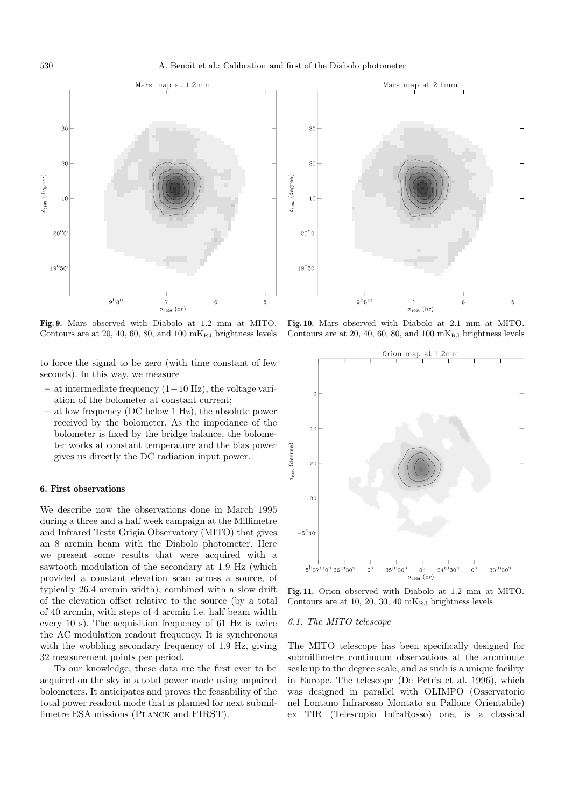

**Fig. 9.** Mars observed with Diabolo at 1.2 mm at MITO. Contours are at 20, 40, 60, 80, and 100  $mK_{RJ}$  brightness levels

to force the signal to be zero (with time constant of few seconds). In this way, we measure

- **–** at intermediate frequency (1−10 Hz), the voltage variation of the bolometer at constant current;
- **–** at low frequency (DC below 1 Hz), the absolute power received by the bolometer. As the impedance of the bolometer is fixed by the bridge balance, the bolometer works at constant temperature and the bias power gives us directly the DC radiation input power.

#### **6. First observations**

We describe now the observations done in March 1995 during a three and a half week campaign at the Millimetre and Infrared Testa Grigia Observatory (MITO) that gives an 8 arcmin beam with the Diabolo photometer. Here we present some results that were acquired with a sawtooth modulation of the secondary at 1.9 Hz (which provided a constant elevation scan across a source, of typically 26.4 arcmin width), combined with a slow drift of the elevation offset relative to the source (by a total of 40 arcmin, with steps of 4 arcmin i.e. half beam width every 10 s). The acquisition frequency of 61 Hz is twice the AC modulation readout frequency. It is synchronous with the wobbling secondary frequency of 1.9 Hz, giving 32 measurement points per period.

To our knowledge, these data are the first ever to be acquired on the sky in a total power mode using unpaired bolometers. It anticipates and proves the feasability of the total power readout mode that is planned for next submillimetre ESA missions (Planck and FIRST).



**Fig. 10.** Mars observed with Diabolo at 2.1 mm at MITO. Contours are at 20, 40, 60, 80, and 100  $mK_{RJ}$  brightness levels



**Fig. 11.** Orion observed with Diabolo at 1.2 mm at MITO. Contours are at 10, 20, 30, 40  $mK_{RJ}$  brightness levels

#### 6.1. The MITO telescope

The MITO telescope has been specifically designed for submillimetre continuum observations at the arcminute scale up to the degree scale, and as such is a unique facility in Europe. The telescope (De Petris et al. 1996), which was designed in parallel with OLIMPO (Osservatorio nel Lontano Infrarosso Montato su Pallone Orientabile) ex TIR (Telescopio InfraRosso) one, is a classical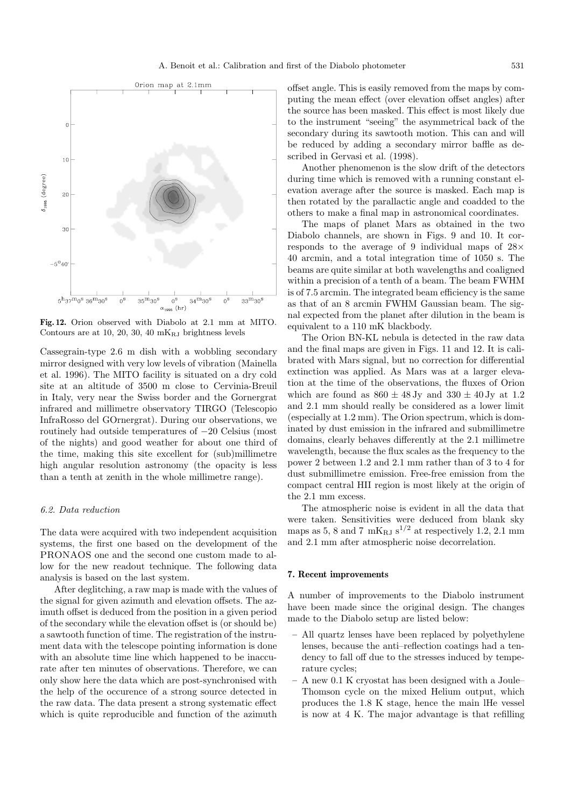

**Fig. 12.** Orion observed with Diabolo at 2.1 mm at MITO. Contours are at 10, 20, 30, 40  $mK_{RJ}$  brightness levels

Cassegrain-type 2.6 m dish with a wobbling secondary mirror designed with very low levels of vibration (Mainella et al. 1996). The MITO facility is situated on a dry cold site at an altitude of 3500 m close to Cervinia-Breuil in Italy, very near the Swiss border and the Gornergrat infrared and millimetre observatory TIRGO (Telescopio InfraRosso del GOrnergrat). During our observations, we routinely had outside temperatures of −20 Celsius (most of the nights) and good weather for about one third of the time, making this site excellent for (sub)millimetre high angular resolution astronomy (the opacity is less than a tenth at zenith in the whole millimetre range).

## 6.2. Data reduction

The data were acquired with two independent acquisition systems, the first one based on the development of the PRONAOS one and the second one custom made to allow for the new readout technique. The following data analysis is based on the last system.

After deglitching, a raw map is made with the values of the signal for given azimuth and elevation offsets. The azimuth offset is deduced from the position in a given period of the secondary while the elevation offset is (or should be) a sawtooth function of time. The registration of the instrument data with the telescope pointing information is done with an absolute time line which happened to be inaccurate after ten minutes of observations. Therefore, we can only show here the data which are post-synchronised with the help of the occurence of a strong source detected in the raw data. The data present a strong systematic effect which is quite reproducible and function of the azimuth

offset angle. This is easily removed from the maps by computing the mean effect (over elevation offset angles) after the source has been masked. This effect is most likely due to the instrument "seeing" the asymmetrical back of the secondary during its sawtooth motion. This can and will be reduced by adding a secondary mirror baffle as described in Gervasi et al. (1998).

Another phenomenon is the slow drift of the detectors during time which is removed with a running constant elevation average after the source is masked. Each map is then rotated by the parallactic angle and coadded to the others to make a final map in astronomical coordinates.

The maps of planet Mars as obtained in the two Diabolo channels, are shown in Figs. 9 and 10. It corresponds to the average of 9 individual maps of 28× 40 arcmin, and a total integration time of 1050 s. The beams are quite similar at both wavelengths and coaligned within a precision of a tenth of a beam. The beam FWHM is of 7.5 arcmin. The integrated beam efficiency is the same as that of an 8 arcmin FWHM Gaussian beam. The signal expected from the planet after dilution in the beam is equivalent to a 110 mK blackbody.

The Orion BN-KL nebula is detected in the raw data and the final maps are given in Figs. 11 and 12. It is calibrated with Mars signal, but no correction for differential extinction was applied. As Mars was at a larger elevation at the time of the observations, the fluxes of Orion which are found as  $860 \pm 48$  Jy and  $330 \pm 40$  Jy at 1.2 and 2.1 mm should really be considered as a lower limit (especially at 1.2 mm). The Orion spectrum, which is dominated by dust emission in the infrared and submillimetre domains, clearly behaves differently at the 2.1 millimetre wavelength, because the flux scales as the frequency to the power 2 between 1.2 and 2.1 mm rather than of 3 to 4 for dust submillimetre emission. Free-free emission from the compact central HII region is most likely at the origin of the 2.1 mm excess.

The atmospheric noise is evident in all the data that were taken. Sensitivities were deduced from blank sky maps as 5, 8 and 7 mK<sub>RJ</sub> s<sup>1/2</sup> at respectively 1.2, 2.1 mm and 2.1 mm after atmospheric noise decorrelation.

#### **7. Recent improvements**

A number of improvements to the Diabolo instrument have been made since the original design. The changes made to the Diabolo setup are listed below:

- **–** All quartz lenses have been replaced by polyethylene lenses, because the anti–reflection coatings had a tendency to fall off due to the stresses induced by temperature cycles;
- **–** A new 0.1 K cryostat has been designed with a Joule– Thomson cycle on the mixed Helium output, which produces the 1.8 K stage, hence the main lHe vessel is now at 4 K. The major advantage is that refilling